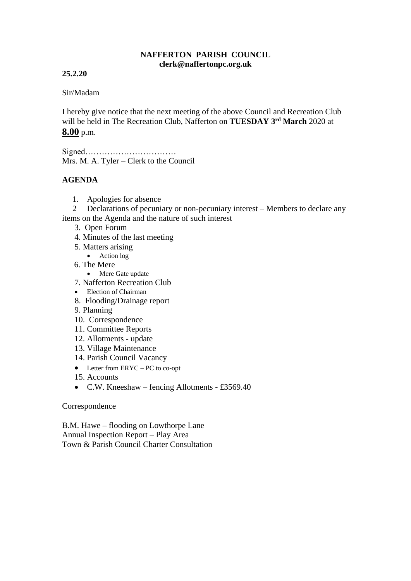## **NAFFERTON PARISH COUNCIL clerk@naffertonpc.org.uk**

# **25.2.20**

## Sir/Madam

I hereby give notice that the next meeting of the above Council and Recreation Club will be held in The Recreation Club, Nafferton on **TUESDAY 3rd March** 2020 at **8.00** p.m.

Signed…………………………… Mrs. M. A. Tyler – Clerk to the Council

## **AGENDA**

1. Apologies for absence

 2 Declarations of pecuniary or non-pecuniary interest – Members to declare any items on the Agenda and the nature of such interest

- 3. Open Forum
- 4. Minutes of the last meeting
- 5. Matters arising
	- Action log
- 6. The Mere
	- Mere Gate update
- 7. Nafferton Recreation Club
- Election of Chairman
- 8. Flooding/Drainage report
- 9. Planning
- 10. Correspondence
- 11. Committee Reports
- 12. Allotments update
- 13. Village Maintenance
- 14. Parish Council Vacancy
- Letter from ERYC PC to co-opt
- 15. Accounts
- C.W. Kneeshaw fencing Allotments £3569.40

#### Correspondence

B.M. Hawe – flooding on Lowthorpe Lane Annual Inspection Report – Play Area Town & Parish Council Charter Consultation